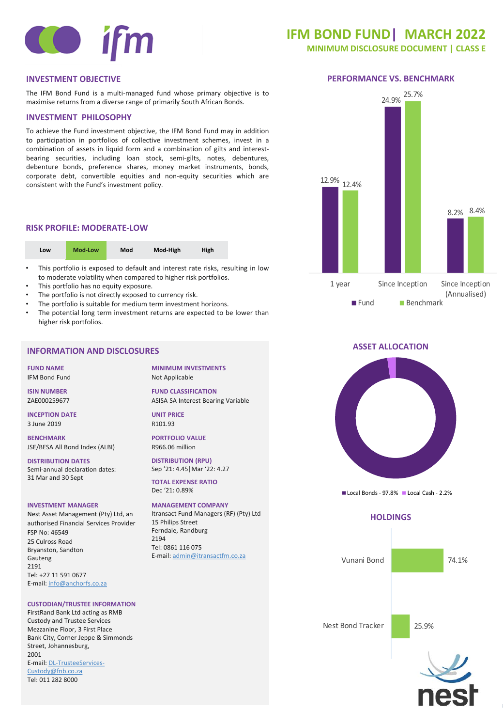

## **IFM BOND FUND| MARCH 2022**

**MINIMUM DISCLOSURE DOCUMENT | CLASS E** 

## **INVESTMENT OBJECTIVE PERFORMANCE VS. BENCHMARK**

The IFM Bond Fund is a multi-managed fund whose primary objective is to maximise returns from a diverse range of primarily South African Bonds.

## **INVESTMENT PHILOSOPHY**

To achieve the Fund investment objective, the IFM Bond Fund may in addition to participation in portfolios of collective investment schemes, invest in a combination of assets in liquid form and a combination of gilts and interestbearing securities, including loan stock, semi-gilts, notes, debentures, debenture bonds, preference shares, money market instruments, bonds, corporate debt, convertible equities and non-equity securities which are consistent with the Fund's investment policy.

## **RISK PROFILE: MODERATE-LOW**

| Mod-Low<br>Mod<br>Low | Mod-High<br><b>High</b> |
|-----------------------|-------------------------|
|-----------------------|-------------------------|

- This portfolio is exposed to default and interest rate risks, resulting in low to moderate volatility when compared to higher risk portfolios.
- This portfolio has no equity exposure.
- The portfolio is not directly exposed to currency risk.
- The portfolio is suitable for medium term investment horizons.
- The potential long term investment returns are expected to be lower than higher risk portfolios.

## **INFORMATION AND DISCLOSURES**

**FUND NAME** IFM Bond Fund

**ISIN NUMBER** ZAE000259677

**INCEPTION DATE** 3 June 2019

**BENCHMARK** JSE/BESA All Bond Index (ALBI)

**DISTRIBUTION DATES** Semi-annual declaration dates: 31 Mar and 30 Sept

#### **INVESTMENT MANAGER**

Nest Asset Management (Pty) Ltd, an authorised Financial Services Provider FSP No: 46549 25 Culross Road Bryanston, Sandton Gauteng 2191 Tel: +27 11 591 0677 E-mail: [info@anchorfs.co.za](mailto:info@anchorfs.co.za)

#### **CUSTODIAN/TRUSTEE INFORMATION**

FirstRand Bank Ltd acting as RMB Custody and Trustee Services Mezzanine Floor, 3 First Place Bank City, Corner Jeppe & Simmonds Street, Johannesburg, 2001 [E-mail: DL-TrusteeServices-](mailto:DL-TrusteeServices-Custody@fnb.co.za)Custody@fnb.co.za Tel: 011 282 8000

**MINIMUM INVESTMENTS** Not Applicable

**FUND CLASSIFICATION** ASISA SA Interest Bearing Variable

**UNIT PRICE** R101.93

**PORTFOLIO VALUE** R966.06 million

**DISTRIBUTION (RPU)** Sep '21: 4.45|Mar '22: 4.27

**TOTAL EXPENSE RATIO** Dec '21: 0.89%

**MANAGEMENT COMPANY** Itransact Fund Managers (RF) (Pty) Ltd 15 Philips Street Ferndale, Randburg 2194 Tel: 0861 116 075 E-mail: [admin@itransactfm.co.za](mailto:admin@itransactfm.co.za)



## **ASSET ALLOCATION**



Local Bonds - 97.8% Local Cash - 2.2%

## **HOLDINGS**